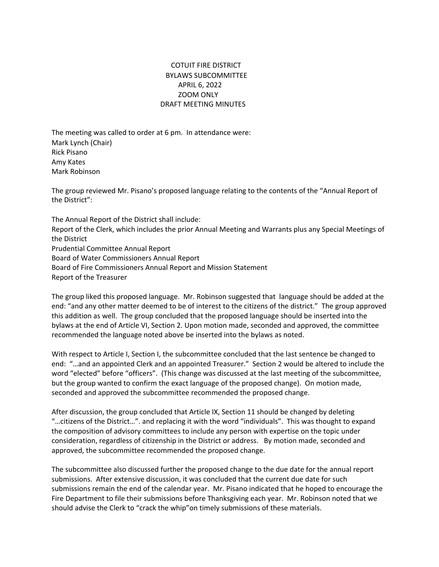## COTUIT FIRE DISTRICT BYLAWS SUBCOMMITTEE APRIL 6, 2022 **ZOOM ONLY** DRAFT MEETING MINUTES

The meeting was called to order at 6 pm. In attendance were: Mark Lynch (Chair) Rick Pisano Amy Kates Mark Robinson

The group reviewed Mr. Pisano's proposed language relating to the contents of the "Annual Report of the District":

The Annual Report of the District shall include: Report of the Clerk, which includes the prior Annual Meeting and Warrants plus any Special Meetings of the District Prudential Committee Annual Report Board of Water Commissioners Annual Report Board of Fire Commissioners Annual Report and Mission Statement Report of the Treasurer

The group liked this proposed language. Mr. Robinson suggested that language should be added at the end: "and any other matter deemed to be of interest to the citizens of the district." The group approved this addition as well. The group concluded that the proposed language should be inserted into the bylaws at the end of Article VI, Section 2. Upon motion made, seconded and approved, the committee recommended the language noted above be inserted into the bylaws as noted.

With respect to Article I, Section I, the subcommittee concluded that the last sentence be changed to end: "...and an appointed Clerk and an appointed Treasurer." Section 2 would be altered to include the word "elected" before "officers". (This change was discussed at the last meeting of the subcommittee, but the group wanted to confirm the exact language of the proposed change). On motion made, seconded and approved the subcommittee recommended the proposed change.

After discussion, the group concluded that Article IX, Section 11 should be changed by deleting "... citizens of the District...". and replacing it with the word "individuals". This was thought to expand the composition of advisory committees to include any person with expertise on the topic under consideration, regardless of citizenship in the District or address. By motion made, seconded and approved, the subcommittee recommended the proposed change.

The subcommittee also discussed further the proposed change to the due date for the annual report submissions. After extensive discussion, it was concluded that the current due date for such submissions remain the end of the calendar year. Mr. Pisano indicated that he hoped to encourage the Fire Department to file their submissions before Thanksgiving each year. Mr. Robinson noted that we should advise the Clerk to "crack the whip" on timely submissions of these materials.